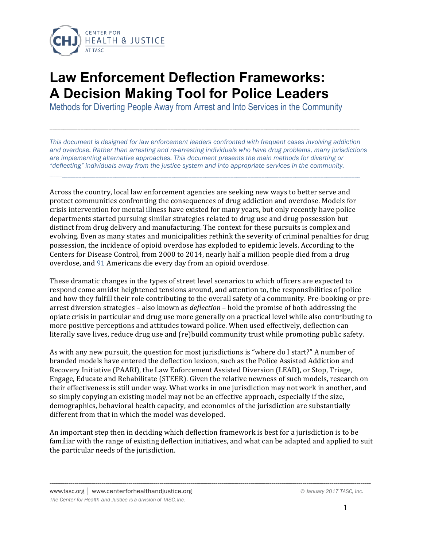

# **Law Enforcement Deflection Frameworks: A Decision Making Tool for Police Leaders**

Methods for Diverting People Away from Arrest and Into Services in the Community

*This document is designed for law enforcement leaders confronted with frequent cases involving addiction and overdose. Rather than arresting and re-arresting individuals who have drug problems, many jurisdictions are implementing alternative approaches. This document presents the main methods for diverting or "deflecting" individuals away from the justice system and into appropriate services in the community.*

\_\_\_\_\_\_\_\_\_\_\_\_\_\_\_\_\_\_\_\_\_\_\_\_\_\_\_\_\_\_\_\_\_\_\_\_\_\_\_\_\_\_\_\_\_\_\_\_\_\_\_\_\_\_\_\_\_\_\_\_\_\_\_\_\_\_\_\_\_\_\_\_\_\_\_\_\_\_\_\_\_\_\_\_\_\_\_\_\_\_\_\_\_\_\_\_\_\_\_\_\_\_\_\_\_\_\_\_\_\_\_\_

\_\_\_\_\_\_\_\_\_\_\_\_\_\_\_\_\_\_\_\_\_\_\_\_\_\_\_\_\_\_\_\_\_\_\_\_\_\_\_\_\_\_\_\_\_\_\_\_\_\_\_\_\_\_\_\_\_\_\_\_\_\_\_\_\_\_\_\_\_\_\_\_\_\_\_\_\_\_\_\_\_\_\_\_\_\_\_\_\_\_\_\_\_\_\_\_\_\_\_\_\_\_\_\_\_\_\_\_\_\_

Across the country, local law enforcement agencies are seeking new ways to better serve and protect communities confronting the consequences of drug addiction and overdose. Models for crisis intervention for mental illness have existed for many years, but only recently have police departments started pursuing similar strategies related to drug use and drug possession but distinct from drug delivery and manufacturing. The context for these pursuits is complex and evolving. Even as many states and municipalities rethink the severity of criminal penalties for drug possession, the incidence of opioid overdose has exploded to epidemic levels. According to the Centers for Disease Control, from 2000 to 2014, nearly half a million people died from a drug overdose, and 91 Americans die every day from an opioid overdose.

These dramatic changes in the types of street level scenarios to which officers are expected to respond come amidst heightened tensions around, and attention to, the responsibilities of police and how they fulfill their role contributing to the overall safety of a community. Pre-booking or prearrest diversion strategies – also known as *deflection* – hold the promise of both addressing the opiate crisis in particular and drug use more generally on a practical level while also contributing to more positive perceptions and attitudes toward police. When used effectively, deflection can literally save lives, reduce drug use and (re)build community trust while promoting public safety.

As with any new pursuit, the question for most jurisdictions is "where do I start?" A number of branded models have entered the deflection lexicon, such as the Police Assisted Addiction and Recovery Initiative (PAARI), the Law Enforcement Assisted Diversion (LEAD), or Stop, Triage, Engage, Educate and Rehabilitate (STEER). Given the relative newness of such models, research on their effectiveness is still under way. What works in one jurisdiction may not work in another, and so simply copying an existing model may not be an effective approach, especially if the size, demographics, behavioral health capacity, and economics of the jurisdiction are substantially different from that in which the model was developed.

An important step then in deciding which deflection framework is best for a jurisdiction is to be familiar with the range of existing deflection initiatives, and what can be adapted and applied to suit the particular needs of the jurisdiction.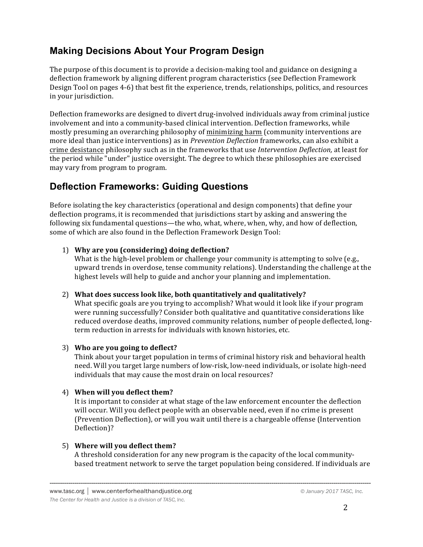# **Making Decisions About Your Program Design**

The purpose of this document is to provide a decision-making tool and guidance on designing a deflection framework by aligning different program characteristics (see Deflection Framework Design Tool on pages 4-6) that best fit the experience, trends, relationships, politics, and resources in your jurisdiction.

Deflection frameworks are designed to divert drug-involved individuals away from criminal justice involvement and into a community-based clinical intervention. Deflection frameworks, while mostly presuming an overarching philosophy of minimizing harm (community interventions are more ideal than justice interventions) as in *Prevention Deflection* frameworks, can also exhibit a crime desistance philosophy such as in the frameworks that use *Intervention Deflection*, at least for the period while "under" justice oversight. The degree to which these philosophies are exercised may vary from program to program.

## **Deflection Frameworks: Guiding Questions**

Before isolating the key characteristics (operational and design components) that define your deflection programs, it is recommended that jurisdictions start by asking and answering the following six fundamental questions—the who, what, where, when, why, and how of deflection, some of which are also found in the Deflection Framework Design Tool:

## 1) Why are you (considering) doing deflection?

What is the high-level problem or challenge your community is attempting to solve (e.g., upward trends in overdose, tense community relations). Understanding the challenge at the highest levels will help to guide and anchor your planning and implementation.

## 2) What does success look like, both quantitatively and qualitatively?

What specific goals are you trying to accomplish? What would it look like if your program were running successfully? Consider both qualitative and quantitative considerations like reduced overdose deaths, improved community relations, number of people deflected, longterm reduction in arrests for individuals with known histories, etc.

## 3) Who are you going to deflect?

Think about your target population in terms of criminal history risk and behavioral health need. Will you target large numbers of low-risk, low-need individuals, or isolate high-need individuals that may cause the most drain on local resources?

## 4) When will you deflect them?

It is important to consider at what stage of the law enforcement encounter the deflection will occur. Will you deflect people with an observable need, even if no crime is present (Prevention Deflection), or will you wait until there is a chargeable offense (Intervention Deflection)?

## 5) Where will you deflect them?

A threshold consideration for any new program is the capacity of the local communitybased treatment network to serve the target population being considered. If individuals are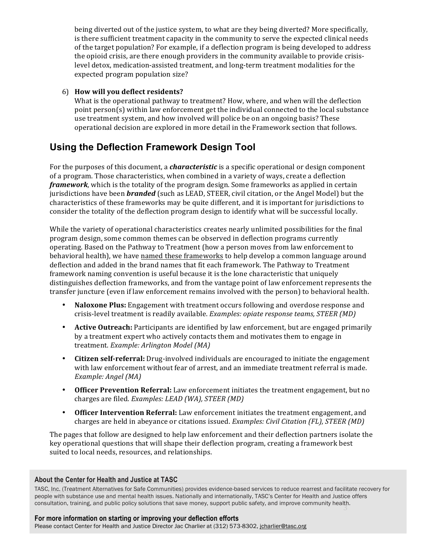being diverted out of the justice system, to what are they being diverted? More specifically, is there sufficient treatment capacity in the community to serve the expected clinical needs of the target population? For example, if a deflection program is being developed to address the opioid crisis, are there enough providers in the community available to provide crisislevel detox, medication-assisted treatment, and long-term treatment modalities for the expected program population size?

## 6) **How will you deflect residents?**

What is the operational pathway to treatment? How, where, and when will the deflection point person(s) within law enforcement get the individual connected to the local substance use treatment system, and how involved will police be on an ongoing basis? These operational decision are explored in more detail in the Framework section that follows.

## **Using the Deflection Framework Design Tool**

For the purposes of this document, a *characteristic* is a specific operational or design component of a program. Those characteristics, when combined in a variety of ways, create a deflection *framework*, which is the totality of the program design. Some frameworks as applied in certain jurisdictions have been **branded** (such as LEAD, STEER, civil citation, or the Angel Model) but the characteristics of these frameworks may be quite different, and it is important for jurisdictions to consider the totality of the deflection program design to identify what will be successful locally.

While the variety of operational characteristics creates nearly unlimited possibilities for the final program design, some common themes can be observed in deflection programs currently operating. Based on the Pathway to Treatment (how a person moves from law enforcement to behavioral health), we have named these frameworks to help develop a common language around deflection and added in the brand names that fit each framework. The Pathway to Treatment framework naming convention is useful because it is the lone characteristic that uniquely distinguishes deflection frameworks, and from the vantage point of law enforcement represents the transfer juncture (even if law enforcement remains involved with the person) to behavioral health.

- **Naloxone Plus:** Engagement with treatment occurs following and overdose response and crisis-level treatment is readily available. *Examples: opiate response teams, STEER (MD)*
- **Active Outreach:** Participants are identified by law enforcement, but are engaged primarily by a treatment expert who actively contacts them and motivates them to engage in treatment. *Example: Arlington Model (MA)*
- **Citizen self-referral:** Drug-involved individuals are encouraged to initiate the engagement with law enforcement without fear of arrest, and an immediate treatment referral is made. *Example: Angel* (MA)
- **Officer Prevention Referral:** Law enforcement initiates the treatment engagement, but no charges are filed. *Examples: LEAD (WA)*, *STEER (MD)*
- **Officer Intervention Referral:** Law enforcement initiates the treatment engagement, and charges are held in abeyance or citations issued. *Examples: Civil Citation (FL), STEER (MD)*

The pages that follow are designed to help law enforcement and their deflection partners isolate the key operational questions that will shape their deflection program, creating a framework best suited to local needs, resources, and relationships.

#### **About the Center for Health and Justice at TASC**

If the Center for Health and Justice at TASC  $\blacksquare$ TASC, Inc. (Treatment Alternatives for Safe Communities) provides evidence-based services to reduce rearrest and facilitate recovery for *The Center for Health and Justice is a division of TASC, Inc.* consultation, training, and public policy solutions that save money, support public safety, and improve community health.<br>ا people with substance use and mental health issues. Nationally and internationally, TASC's Center for Health and Justice offers

#### **For more information on starting or improving your deflection efforts**

Please contact Center for Health and Justice Director Jac Charlier at (312) 573-8302, jcharlier@tasc.org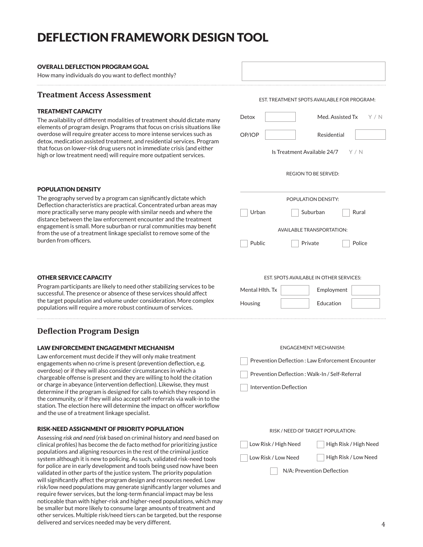# DEFLECTION FRAMEWORK DESIGN TOOL

#### OVERALL DEFLECTION PROGRAM GOAL

How many individuals do you want to deflect monthly?

### **Treatment Access Assessment**

#### TREATMENT CAPACITY

The availability of different modalities of treatment should dictate many elements of program design. Programs that focus on crisis situations like overdose will require greater access to more intense services such as detox, medication assisted treatment, and residential services. Program that focus on lower-risk drug users not in immediate crisis (and either high or low treatment need) will require more outpatient services.

| EST. TREATMENT SPOTS AVAILABLE FOR PROGRAM: |  |  |  |
|---------------------------------------------|--|--|--|
| Med. Assisted Tx $Y/N$<br>Detox             |  |  |  |
| Residential<br>OP/IOP                       |  |  |  |
| Is Treatment Available $24/7$ Y / N         |  |  |  |
| <b>REGION TO BE SERVED:</b>                 |  |  |  |
| POPULATION DENSITY:                         |  |  |  |
| Urban<br>Suburban<br>Rural                  |  |  |  |
| <b>AVAILABLE TRANSPORTATION:</b>            |  |  |  |
| Public<br>Police<br>Private                 |  |  |  |
|                                             |  |  |  |
| EST. SPOTS AVAILABLE IN OTHER SERVICES:     |  |  |  |
| Mental Hith. Tx<br>Employment               |  |  |  |
| <b>Education</b><br>Housing                 |  |  |  |

### POPULATION DENSITY

The geography served by a program can significantly dictate which Deflection characteristics are practical. Concentrated urban areas may more practically serve many people with similar needs and where the distance between the law enforcement encounter and the treatment engagement is small. More suburban or rural communities may benefit from the use of a treatment linkage specialist to remove some of the burden from officers.

#### OTHER SERVICE CAPACITY

Program participants are likely to need other stabilizing services to be successful. The presence or absence of these services should affect the target population and volume under consideration. More complex populations will require a more robust continuum of services.

## **Deflection Program Design**

#### LAW ENFORCEMENT ENGAGEMENT MECHANISM

Law enforcement must decide if they will only make treatment engagements when no crime is present (prevention deflection, e.g. overdose) or if they will also consider circumstances in which a chargeable offense is present and they are willing to hold the citation or charge in abeyance (intervention deflection). Likewise, they must determine if the program is designed for calls to which they respond in the community, or if they will also accept self-referrals via walk-in to the station. The election here will determine the impact on officer workflow and the use of a treatment linkage specialist.

#### RISK-NEED ASSIGNMENT OF PRIORITY POPULATION

Assessing *risk and need* (*risk* based on criminal history and *need* based on clinical profiles) has become the de facto method for prioritizing justice populations and aligning resources in the rest of the criminal justice system although it is new to policing. As such, validated risk-need tools for police are in early development and tools being used now have been validated in other parts of the justice system. The priority population will significantly affect the program design and resources needed. Low risk/low need populations may generate significantly larger volumes and require fewer services, but the long-term financial impact may be less noticeable than with higher-risk and higher-need populations, which may be smaller but more likely to consume large amounts of treatment and other services. Multiple risk/need tiers can be targeted, but the response delivered and services needed may be very different.

ENGAGEMENT MECHANISM: Prevention Deflection : Law Enforcement Encounter Prevention Deflection : Walk-In / Self-Referral Intervention Deflection

## RISK / NEED OF TARGET POPULATION:

Low Risk / High Need

Low Risk / Low Need

High Risk / High Need

High Risk / Low Need

N/A: Prevention Deflection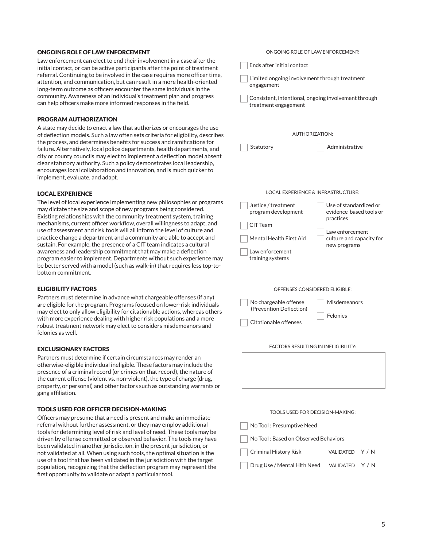#### ONGOING ROLE OF LAW ENFORCEMENT

Law enforcement can elect to end their involvement in a case after the initial contact, or can be active participants after the point of treatment referral. Continuing to be involved in the case requires more officer time, attention, and communication, but can result in a more health-oriented long-term outcome as officers encounter the same individuals in the community. Awareness of an individual's treatment plan and progress can help officers make more informed responses in the field.

#### PROGRAM AUTHORIZATION

A state may decide to enact a law that authorizes or encourages the use of deflection models. Such a law often sets criteria for eligibility, describes the process, and determines benefits for success and ramifications for failure. Alternatively, local police departments, health departments, and city or county councils may elect to implement a deflection model absent clear statutory authority. Such a policy demonstrates local leadership, encourages local collaboration and innovation, and is much quicker to implement, evaluate, and adapt.

#### LOCAL EXPERIENCE

The level of local experience implementing new philosophies or programs may dictate the size and scope of new programs being considered. Existing relationships with the community treatment system, training mechanisms, current officer workflow, overall willingness to adapt, and use of assessment and risk tools will all inform the level of culture and practice change a department and a community are able to accept and sustain. For example, the presence of a CIT team indicates a cultural awareness and leadership commitment that may make a deflection program easier to implement. Departments without such experience may be better served with a model (such as walk-in) that requires less top-tobottom commitment.

#### ELIGIBILITY FACTORS

Partners must determine in advance what chargeable offenses (if any) are eligible for the program. Programs focused on lower-risk individuals may elect to only allow eligibility for citationable actions, whereas others with more experience dealing with higher risk populations and a more robust treatment network may elect to considers misdemeanors and felonies as well.

#### EXCLUSIONARY FACTORS

Partners must determine if certain circumstances may render an otherwise-eligible individual ineligible. These factors may include the presence of a criminal record (or crimes on that record), the nature of the current offense (violent vs. non-violent), the type of charge (drug, property, or personal) and other factors such as outstanding warrants or gang affiliation.

#### TOOLS USED FOR OFFICER DECISION-MAKING

Officers may presume that a need is present and make an immediate referral without further assessment, or they may employ additional tools for determining level of risk and level of need. These tools may be driven by offense committed or observed behavior. The tools may have been validated in another jurisdiction, in the present jurisdiction, or not validated at all. When using such tools, the optimal situation is the use of a tool that has been validated in the jurisdiction with the target population, recognizing that the deflection program may represent the first opportunity to validate or adapt a particular tool.

| Ends after initial contact                                                   |                                                                |  |  |  |  |
|------------------------------------------------------------------------------|----------------------------------------------------------------|--|--|--|--|
| Limited ongoing involvement through treatment<br>engagement                  |                                                                |  |  |  |  |
| Consistent, intentional, ongoing involvement through<br>treatment engagement |                                                                |  |  |  |  |
| <b>AUTHORIZATION:</b>                                                        |                                                                |  |  |  |  |
| Statutory                                                                    | Administrative                                                 |  |  |  |  |
| LOCAL EXPERIENCE & INFRASTRUCTURE:                                           |                                                                |  |  |  |  |
| Justice / treatment<br>program development<br>CIT Team                       | Use of standardized or<br>evidence-based tools or<br>practices |  |  |  |  |
| Mental Health First Aid<br>Law enforcement<br>training systems               | Law enforcement<br>culture and capacity for<br>new programs    |  |  |  |  |
| OFFENSES CONSIDERED ELIGIBLE:                                                |                                                                |  |  |  |  |
| No chargeable offense<br>(Prevention Deflection)                             | Misdemeanors<br>Felonies                                       |  |  |  |  |
| Citationable offenses                                                        |                                                                |  |  |  |  |
| <b>FACTORS RESULTING IN INELIGIBILITY:</b>                                   |                                                                |  |  |  |  |
|                                                                              |                                                                |  |  |  |  |
|                                                                              | TOOLS USED FOR DECISION-MAKING:                                |  |  |  |  |
| No Tool : Presumptive Need                                                   |                                                                |  |  |  |  |
| No Tool : Based on Observed Behaviors                                        |                                                                |  |  |  |  |

ONGOING ROLE OF LAW ENFORCEMENT:

#### Criminal History Risk VALIDATED Y / N

Drug Use / Mental Hlth Need VALIDATED Y / N